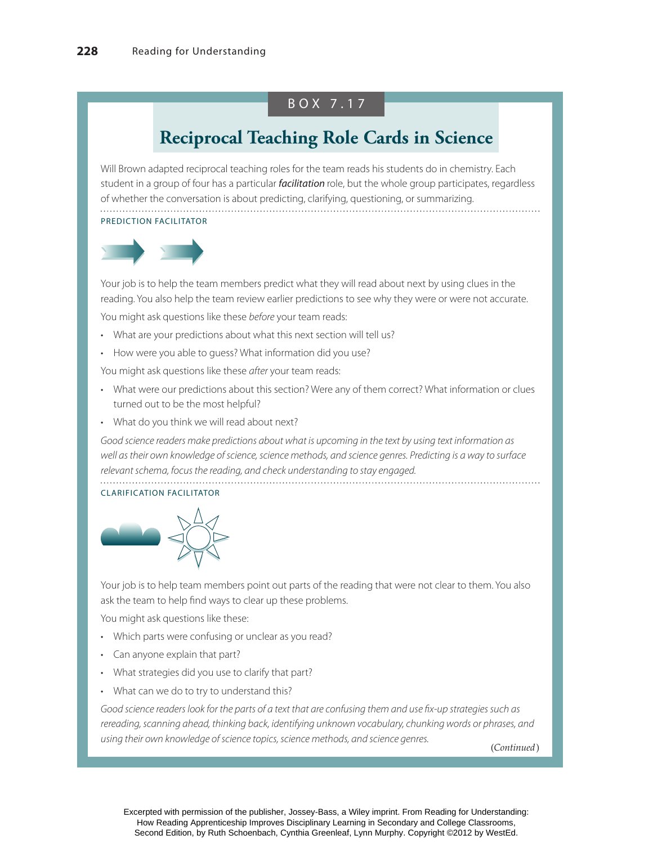### BOX 7.17

## **Reciprocal Teaching Role Cards in Science**

Will Brown adapted reciprocal teaching roles for the team reads his students do in chemistry. Each student in a group of four has a particular *facilitation* role, but the whole group participates, regardless of whether the conversation is about predicting, clarifying, questioning, or summarizing. PREDICTION FACILITATOR



Your job is to help the team members predict what they will read about next by using clues in the reading. You also help the team review earlier predictions to see why they were or were not accurate.

You might ask questions like these before your team reads:

- What are your predictions about what this next section will tell us?
- How were you able to guess? What information did you use?

You might ask questions like these after your team reads:

- What were our predictions about this section? Were any of them correct? What information or clues turned out to be the most helpful?
- What do you think we will read about next?

Good science readers make predictions about what is upcoming in the text by using text information as well as their own knowledge of science, science methods, and science genres. Predicting is a way to surface relevant schema, focus the reading, and check understanding to stay engaged.

#### CLARIFICATION FACILITATOR



Your job is to help team members point out parts of the reading that were not clear to them. You also ask the team to help find ways to clear up these problems.

You might ask questions like these:

- Which parts were confusing or unclear as you read?
- Can anyone explain that part?
- What strategies did you use to clarify that part?
- What can we do to try to understand this?

Good science readers look for the parts of a text that are confusing them and use fix-up strategies such as rereading, scanning ahead, thinking back, identifying unknown vocabulary, chunking words or phrases, and using their own knowledge of science topics, science methods, and science genres.

(*Continued* )

Excerpted with permission of the publisher, Jossey-Bass, a Wiley imprint. From Reading for Understanding: How Reading Apprenticeship Improves Disciplinary Learning in Secondary and College Classrooms, Second Edition, by Ruth Schoenbach, Cynthia Greenleaf, Lynn Murphy. Copyright ©2012 by WestEd.